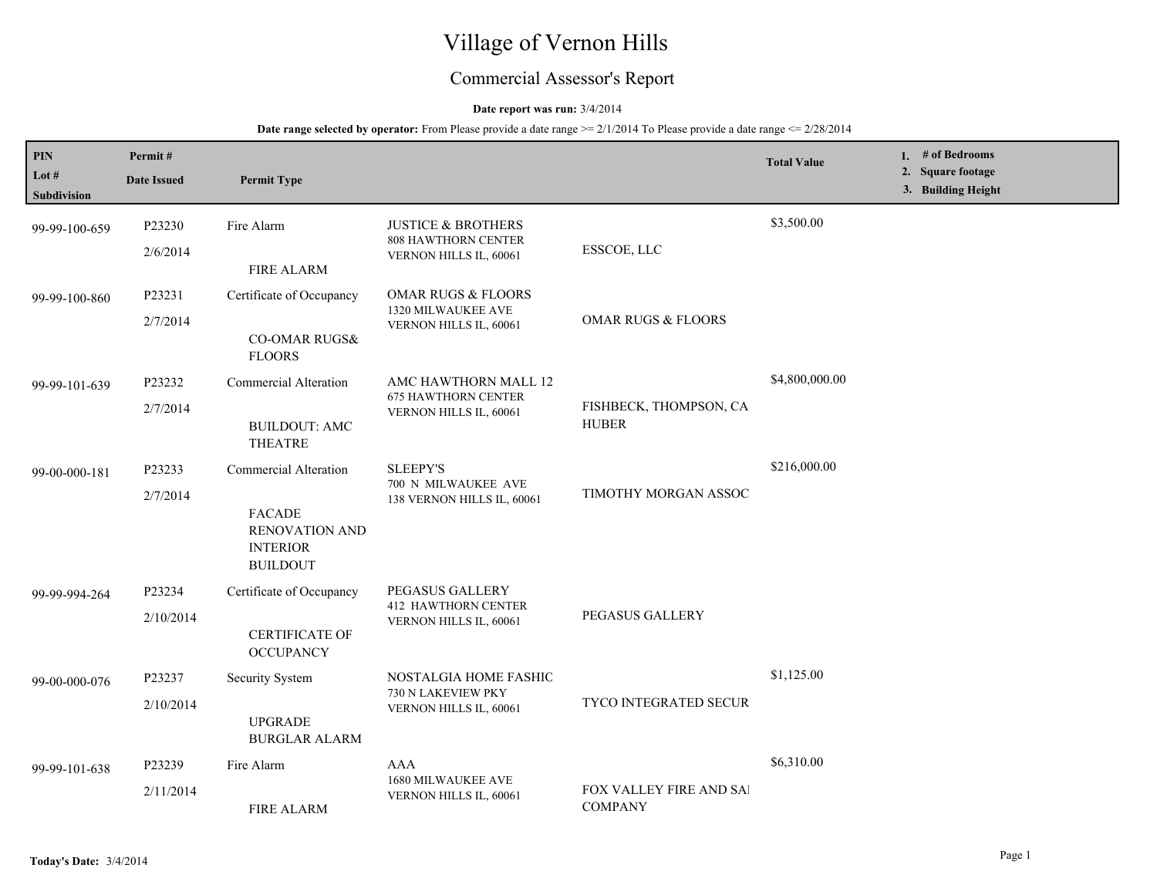# Village of Vernon Hills

## Commercial Assessor's Report

#### **Date report was run:** 3/4/2014

| PIN<br>Lot $#$<br>Subdivision | Permit#<br><b>Date Issued</b> | <b>Permit Type</b>                                                                             |                                                                                |                                           | <b>Total Value</b> | 1. $#$ of Bedrooms<br>2. Square footage<br>3. Building Height |
|-------------------------------|-------------------------------|------------------------------------------------------------------------------------------------|--------------------------------------------------------------------------------|-------------------------------------------|--------------------|---------------------------------------------------------------|
| 99-99-100-659                 | P23230<br>2/6/2014            | Fire Alarm<br><b>FIRE ALARM</b>                                                                | <b>JUSTICE &amp; BROTHERS</b><br>808 HAWTHORN CENTER<br>VERNON HILLS IL, 60061 | ESSCOE, LLC                               | \$3,500.00         |                                                               |
| 99-99-100-860                 | P23231<br>2/7/2014            | Certificate of Occupancy<br><b>CO-OMAR RUGS&amp;</b><br><b>FLOORS</b>                          | <b>OMAR RUGS &amp; FLOORS</b><br>1320 MILWAUKEE AVE<br>VERNON HILLS IL, 60061  | <b>OMAR RUGS &amp; FLOORS</b>             |                    |                                                               |
| 99-99-101-639                 | P23232<br>2/7/2014            | <b>Commercial Alteration</b><br><b>BUILDOUT: AMC</b><br><b>THEATRE</b>                         | AMC HAWTHORN MALL 12<br><b>675 HAWTHORN CENTER</b><br>VERNON HILLS IL, 60061   | FISHBECK, THOMPSON, CA<br><b>HUBER</b>    | \$4,800,000.00     |                                                               |
| 99-00-000-181                 | P23233<br>2/7/2014            | Commercial Alteration<br>FACADE<br><b>RENOVATION AND</b><br><b>INTERIOR</b><br><b>BUILDOUT</b> | <b>SLEEPY'S</b><br>700 N MILWAUKEE AVE<br>138 VERNON HILLS IL, 60061           | TIMOTHY MORGAN ASSOC                      | \$216,000.00       |                                                               |
| 99-99-994-264                 | P23234<br>2/10/2014           | Certificate of Occupancy<br><b>CERTIFICATE OF</b><br><b>OCCUPANCY</b>                          | PEGASUS GALLERY<br><b>412 HAWTHORN CENTER</b><br>VERNON HILLS IL, 60061        | PEGASUS GALLERY                           |                    |                                                               |
| 99-00-000-076                 | P23237<br>2/10/2014           | Security System<br><b>UPGRADE</b><br><b>BURGLAR ALARM</b>                                      | NOSTALGIA HOME FASHIC<br>730 N LAKEVIEW PKY<br>VERNON HILLS IL, 60061          | TYCO INTEGRATED SECUR                     | \$1,125.00         |                                                               |
| 99-99-101-638                 | P23239<br>2/11/2014           | Fire Alarm<br><b>FIRE ALARM</b>                                                                | AAA<br>1680 MILWAUKEE AVE<br>VERNON HILLS IL, 60061                            | FOX VALLEY FIRE AND SAI<br><b>COMPANY</b> | \$6,310.00         |                                                               |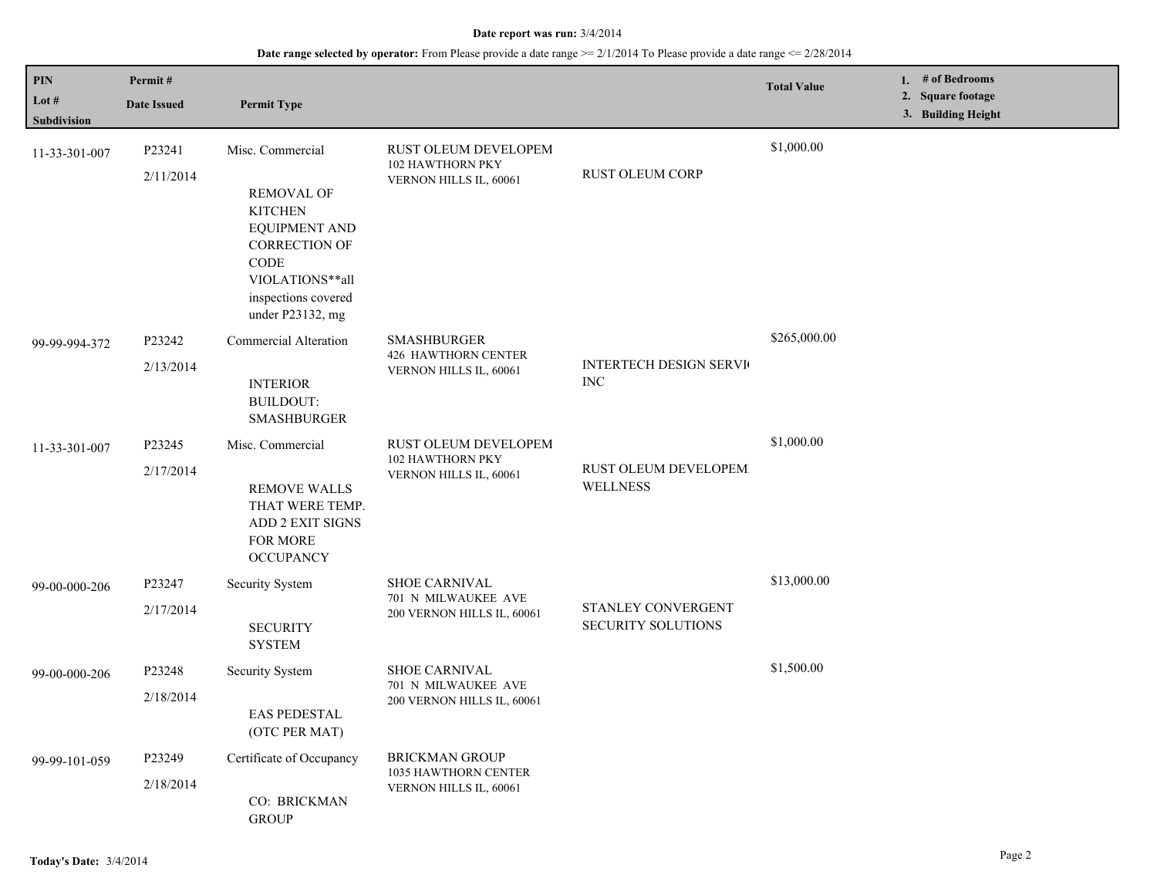| PIN<br>Lot #<br>Subdivision | Permit#<br><b>Date Issued</b> | <b>Permit Type</b>                                                                                                                                                                   |                                                                            |                                                 | <b>Total Value</b> | 1. # of Bedrooms<br>2. Square footage<br>3. Building Height |
|-----------------------------|-------------------------------|--------------------------------------------------------------------------------------------------------------------------------------------------------------------------------------|----------------------------------------------------------------------------|-------------------------------------------------|--------------------|-------------------------------------------------------------|
| 11-33-301-007               | P23241<br>2/11/2014           | Misc. Commercial<br><b>REMOVAL OF</b><br><b>KITCHEN</b><br><b>EQUIPMENT AND</b><br><b>CORRECTION OF</b><br><b>CODE</b><br>VIOLATIONS**all<br>inspections covered<br>under P23132, mg | RUST OLEUM DEVELOPEM<br>102 HAWTHORN PKY<br>VERNON HILLS IL, 60061         | <b>RUST OLEUM CORP</b>                          | \$1,000.00         |                                                             |
| 99-99-994-372               | P23242<br>2/13/2014           | Commercial Alteration<br><b>INTERIOR</b><br><b>BUILDOUT:</b><br><b>SMASHBURGER</b>                                                                                                   | <b>SMASHBURGER</b><br><b>426 HAWTHORN CENTER</b><br>VERNON HILLS IL, 60061 | <b>INTERTECH DESIGN SERVICE</b><br><b>INC</b>   | \$265,000.00       |                                                             |
| 11-33-301-007               | P23245<br>2/17/2014           | Misc. Commercial<br><b>REMOVE WALLS</b><br>THAT WERE TEMP.<br>ADD 2 EXIT SIGNS<br>FOR MORE<br><b>OCCUPANCY</b>                                                                       | <b>RUST OLEUM DEVELOPEM</b><br>102 HAWTHORN PKY<br>VERNON HILLS IL, 60061  | RUST OLEUM DEVELOPEM<br><b>WELLNESS</b>         | \$1,000.00         |                                                             |
| 99-00-000-206               | P23247<br>2/17/2014           | <b>Security System</b><br><b>SECURITY</b><br><b>SYSTEM</b>                                                                                                                           | <b>SHOE CARNIVAL</b><br>701 N MILWAUKEE AVE<br>200 VERNON HILLS IL, 60061  | STANLEY CONVERGENT<br><b>SECURITY SOLUTIONS</b> | \$13,000.00        |                                                             |
| 99-00-000-206               | P23248<br>2/18/2014           | Security System<br><b>EAS PEDESTAL</b><br>(OTC PER MAT)                                                                                                                              | <b>SHOE CARNIVAL</b><br>701 N MILWAUKEE AVE<br>200 VERNON HILLS IL, 60061  |                                                 | \$1,500.00         |                                                             |
| 99-99-101-059               | P23249<br>2/18/2014           | Certificate of Occupancy<br>CO: BRICKMAN<br><b>GROUP</b>                                                                                                                             | <b>BRICKMAN GROUP</b><br>1035 HAWTHORN CENTER<br>VERNON HILLS IL, 60061    |                                                 |                    |                                                             |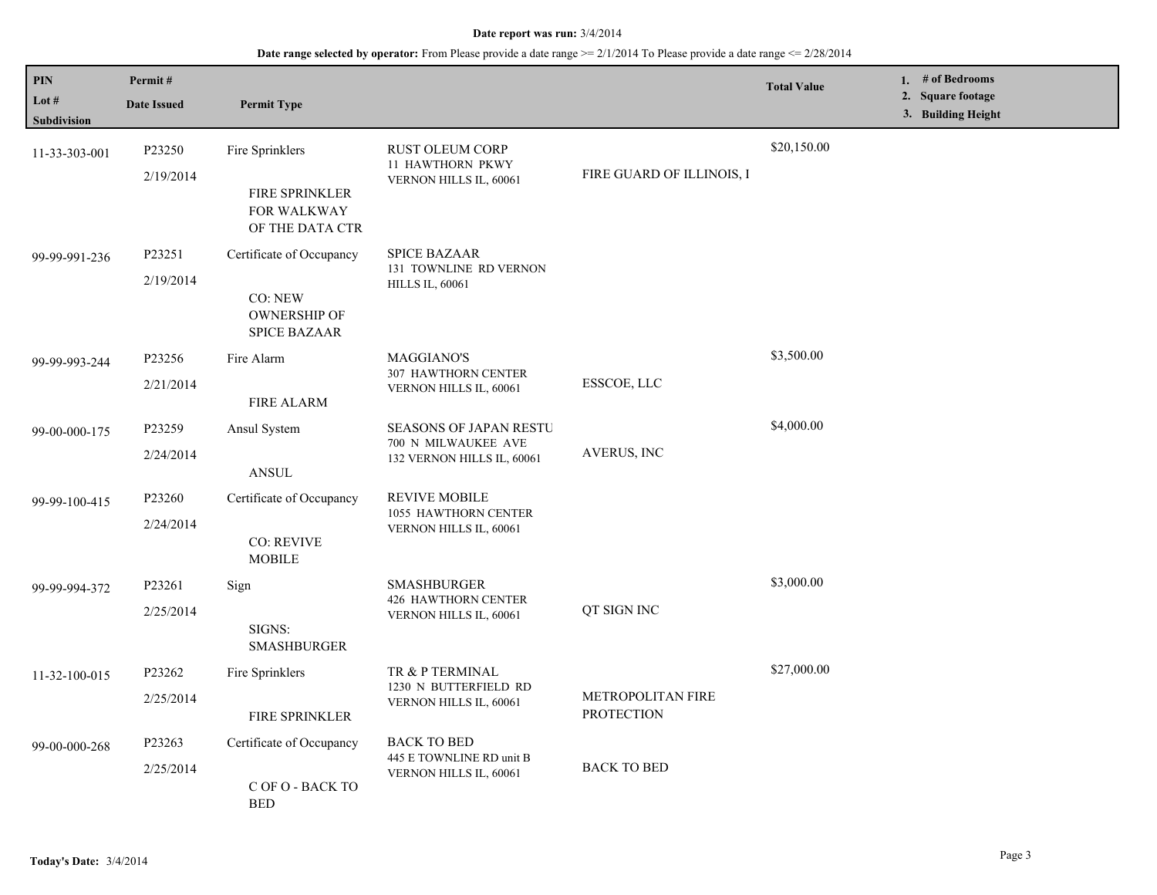| PIN<br>Lot #  | Permit#<br><b>Date Issued</b> | <b>Permit Type</b>                                    |                                                                                    |                                        | <b>Total Value</b> | 1. # of Bedrooms<br>2. Square footage |
|---------------|-------------------------------|-------------------------------------------------------|------------------------------------------------------------------------------------|----------------------------------------|--------------------|---------------------------------------|
| Subdivision   |                               |                                                       |                                                                                    |                                        |                    | 3. Building Height                    |
| 11-33-303-001 | P23250<br>2/19/2014           | Fire Sprinklers<br>FIRE SPRINKLER                     | <b>RUST OLEUM CORP</b><br>11 HAWTHORN PKWY<br>VERNON HILLS IL, 60061               | FIRE GUARD OF ILLINOIS, I              | \$20,150.00        |                                       |
|               |                               | FOR WALKWAY<br>OF THE DATA CTR                        |                                                                                    |                                        |                    |                                       |
| 99-99-991-236 | P23251                        | Certificate of Occupancy                              | <b>SPICE BAZAAR</b><br>131 TOWNLINE RD VERNON<br><b>HILLS IL, 60061</b>            |                                        |                    |                                       |
|               | 2/19/2014                     | CO: NEW<br><b>OWNERSHIP OF</b><br><b>SPICE BAZAAR</b> |                                                                                    |                                        |                    |                                       |
| 99-99-993-244 | P23256                        | Fire Alarm                                            | <b>MAGGIANO'S</b>                                                                  | ESSCOE, LLC                            | \$3,500.00         |                                       |
|               | 2/21/2014                     | <b>FIRE ALARM</b>                                     | 307 HAWTHORN CENTER<br>VERNON HILLS IL, 60061                                      |                                        |                    |                                       |
| 99-00-000-175 | P23259                        | Ansul System                                          | <b>SEASONS OF JAPAN RESTU</b><br>700 N MILWAUKEE AVE<br>132 VERNON HILLS IL, 60061 | AVERUS, INC                            | \$4,000.00         |                                       |
|               | 2/24/2014                     | <b>ANSUL</b>                                          |                                                                                    |                                        |                    |                                       |
| 99-99-100-415 | P23260                        | Certificate of Occupancy                              | <b>REVIVE MOBILE</b><br>1055 HAWTHORN CENTER<br>VERNON HILLS IL, 60061             |                                        |                    |                                       |
|               | 2/24/2014                     | <b>CO: REVIVE</b><br><b>MOBILE</b>                    |                                                                                    |                                        |                    |                                       |
| 99-99-994-372 | P23261                        | Sign                                                  | <b>SMASHBURGER</b><br><b>426 HAWTHORN CENTER</b><br>VERNON HILLS IL, 60061         | QT SIGN INC                            | \$3,000.00         |                                       |
|               | 2/25/2014                     | SIGNS:<br><b>SMASHBURGER</b>                          |                                                                                    |                                        |                    |                                       |
| 11-32-100-015 | P23262                        | Fire Sprinklers                                       | TR & P TERMINAL<br>1230 N BUTTERFIELD RD                                           | METROPOLITAN FIRE<br><b>PROTECTION</b> | \$27,000.00        |                                       |
|               | 2/25/2014                     | <b>FIRE SPRINKLER</b>                                 | VERNON HILLS IL, 60061                                                             |                                        |                    |                                       |
| 99-00-000-268 | P23263                        | Certificate of Occupancy                              | <b>BACK TO BED</b><br>445 E TOWNLINE RD unit B                                     | <b>BACK TO BED</b>                     |                    |                                       |
|               | 2/25/2014                     | C OF O - BACK TO<br><b>BED</b>                        | VERNON HILLS IL, 60061                                                             |                                        |                    |                                       |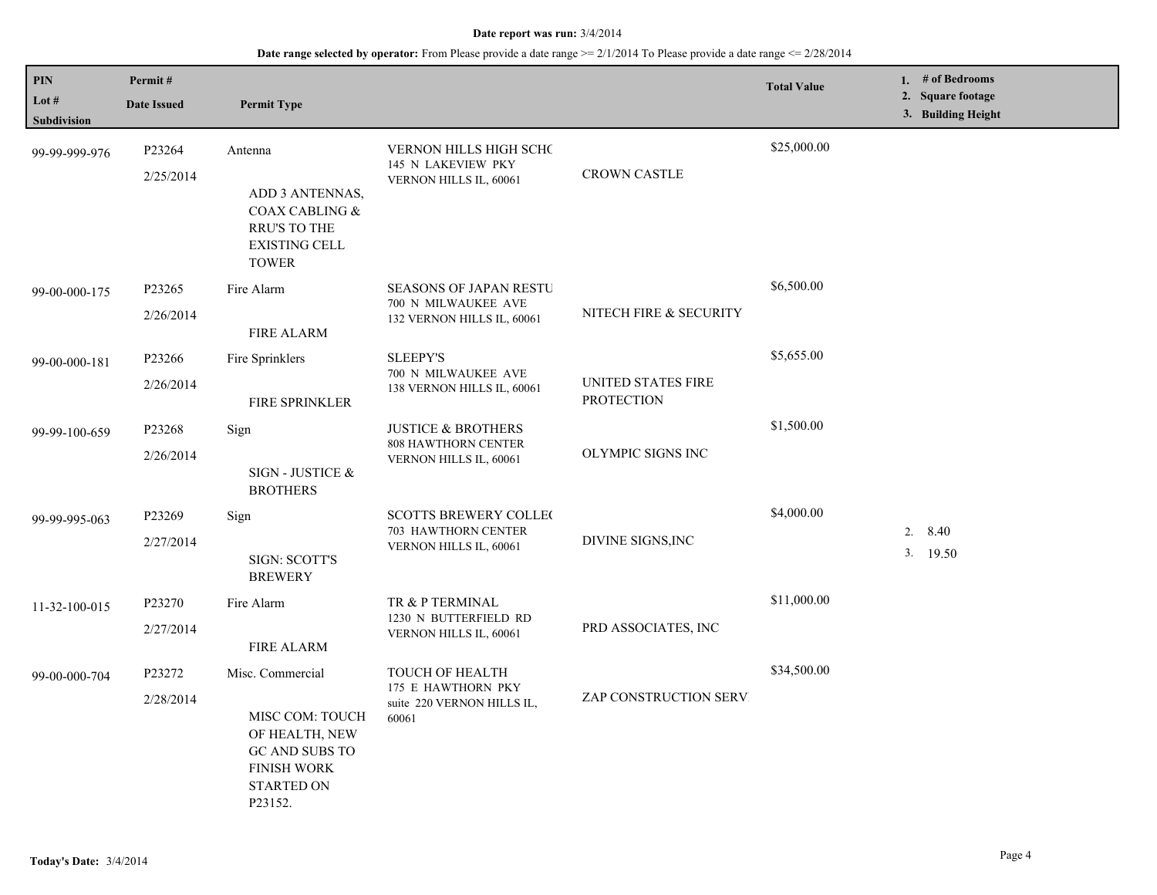| PIN                           | Permit#             |                                                                                                                               |                                                                                     |                                         | <b>Total Value</b> | 1. # of Bedrooms                        |
|-------------------------------|---------------------|-------------------------------------------------------------------------------------------------------------------------------|-------------------------------------------------------------------------------------|-----------------------------------------|--------------------|-----------------------------------------|
| Lot $#$<br><b>Subdivision</b> | <b>Date Issued</b>  | <b>Permit Type</b>                                                                                                            |                                                                                     |                                         |                    | 2. Square footage<br>3. Building Height |
| 99-99-999-976                 | P23264<br>2/25/2014 | Antenna<br>ADD 3 ANTENNAS,<br>COAX CABLING &<br><b>RRU'S TO THE</b><br><b>EXISTING CELL</b><br><b>TOWER</b>                   | <b>VERNON HILLS HIGH SCHC</b><br>145 N LAKEVIEW PKY<br>VERNON HILLS IL, 60061       | <b>CROWN CASTLE</b>                     | \$25,000.00        |                                         |
| 99-00-000-175                 | P23265<br>2/26/2014 | Fire Alarm<br><b>FIRE ALARM</b>                                                                                               | <b>SEASONS OF JAPAN RESTU</b><br>700 N MILWAUKEE AVE<br>132 VERNON HILLS IL, 60061  | NITECH FIRE & SECURITY                  | \$6,500.00         |                                         |
| 99-00-000-181                 | P23266<br>2/26/2014 | Fire Sprinklers<br><b>FIRE SPRINKLER</b>                                                                                      | <b>SLEEPY'S</b><br>700 N MILWAUKEE AVE<br>138 VERNON HILLS IL, 60061                | UNITED STATES FIRE<br><b>PROTECTION</b> | \$5,655.00         |                                         |
| 99-99-100-659                 | P23268<br>2/26/2014 | Sign<br>SIGN - JUSTICE &<br><b>BROTHERS</b>                                                                                   | <b>JUSTICE &amp; BROTHERS</b><br>808 HAWTHORN CENTER<br>VERNON HILLS IL, 60061      | OLYMPIC SIGNS INC                       | \$1,500.00         |                                         |
| 99-99-995-063                 | P23269<br>2/27/2014 | Sign<br><b>SIGN: SCOTT'S</b><br><b>BREWERY</b>                                                                                | <b>SCOTTS BREWERY COLLECT</b><br>703 HAWTHORN CENTER<br>VERNON HILLS IL, 60061      | DIVINE SIGNS, INC                       | \$4,000.00         | 2. $8.40$<br>3. 19.50                   |
| 11-32-100-015                 | P23270<br>2/27/2014 | Fire Alarm<br><b>FIRE ALARM</b>                                                                                               | TR & P TERMINAL<br>1230 N BUTTERFIELD RD<br>VERNON HILLS IL, 60061                  | PRD ASSOCIATES, INC                     | \$11,000.00        |                                         |
| 99-00-000-704                 | P23272<br>2/28/2014 | Misc. Commercial<br>MISC COM: TOUCH<br>OF HEALTH, NEW<br>GC AND SUBS TO<br><b>FINISH WORK</b><br><b>STARTED ON</b><br>P23152. | <b>TOUCH OF HEALTH</b><br>175 E HAWTHORN PKY<br>suite 220 VERNON HILLS IL,<br>60061 | ZAP CONSTRUCTION SERV.                  | \$34,500.00        |                                         |